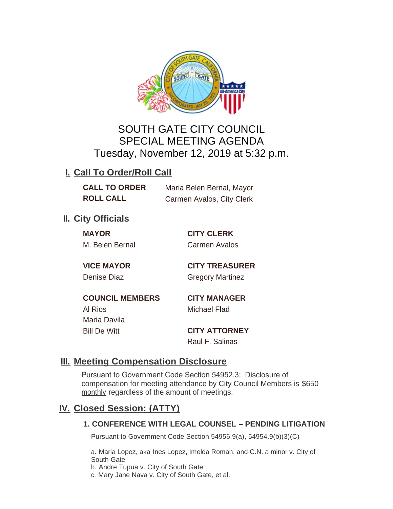

# SOUTH GATE CITY COUNCIL SPECIAL MEETING AGENDA Tuesday, November 12, 2019 at 5:32 p.m.

# **I. Call To Order/Roll Call**

| <b>CALL TO ORDER</b> | Maria Belen Bernal, Mayor |
|----------------------|---------------------------|
| <b>ROLL CALL</b>     | Carmen Avalos, City Clerk |

### **II.** City Officials

**MAYOR CITY CLERK** M. Belen Bernal Carmen Avalos

**VICE MAYOR CITY TREASURER** Denise Diaz Gregory Martinez

**COUNCIL MEMBERS CITY MANAGER** Al Rios Michael Flad Maria Davila Bill De Witt **CITY ATTORNEY**

Raul F. Salinas

## **Meeting Compensation Disclosure III.**

Pursuant to Government Code Section 54952.3: Disclosure of compensation for meeting attendance by City Council Members is \$650 monthly regardless of the amount of meetings.

## **Closed Session: (ATTY) IV.**

### **1. CONFERENCE WITH LEGAL COUNSEL – PENDING LITIGATION**

Pursuant to Government Code Section 54956.9(a), 54954.9(b)(3)(C)

a. Maria Lopez, aka Ines Lopez, Imelda Roman, and C.N. a minor v. City of South Gate

b. Andre Tupua v. City of South Gate

c. Mary Jane Nava v. City of South Gate, et al.